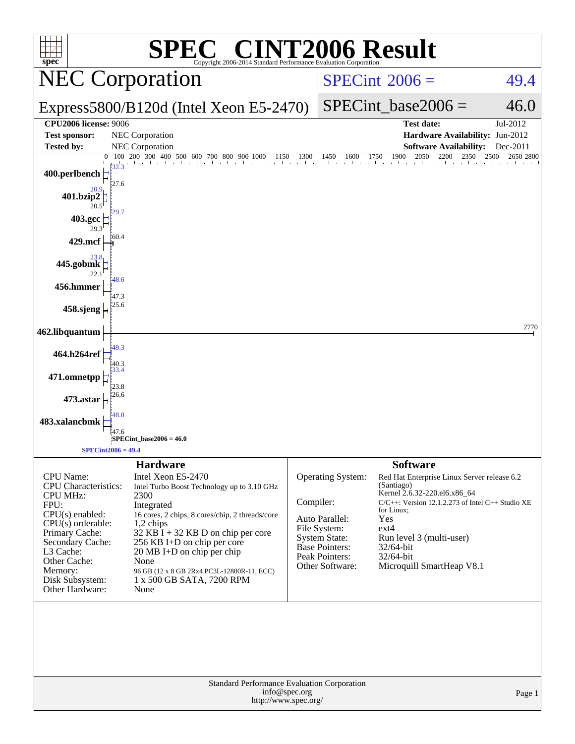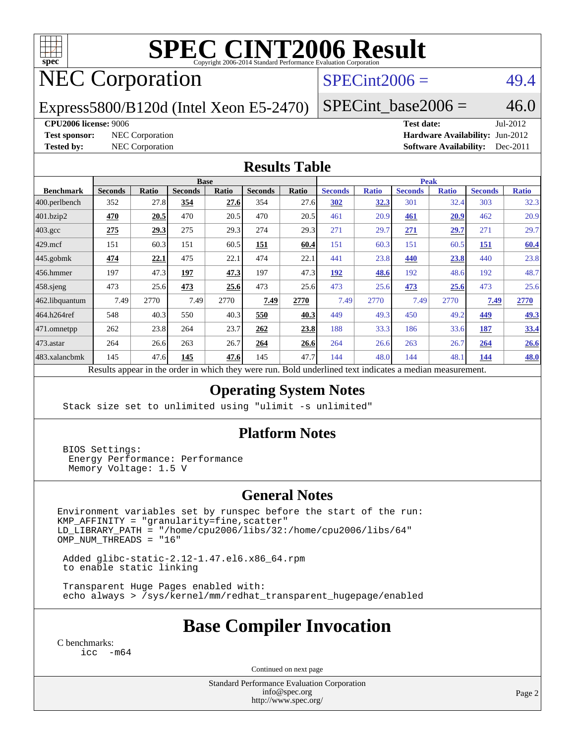

# **[SPEC CINT2006 Result](http://www.spec.org/auto/cpu2006/Docs/result-fields.html#SPECCINT2006Result)**

## NEC Corporation

### $SPECint2006 = 49.4$  $SPECint2006 = 49.4$

Express5800/B120d (Intel Xeon E5-2470)

 $SPECTnt\_base2006 = 46.0$ 

#### **[CPU2006 license:](http://www.spec.org/auto/cpu2006/Docs/result-fields.html#CPU2006license)** 9006 **[Test date:](http://www.spec.org/auto/cpu2006/Docs/result-fields.html#Testdate)** Jul-2012

**[Test sponsor:](http://www.spec.org/auto/cpu2006/Docs/result-fields.html#Testsponsor)** NEC Corporation **[Hardware Availability:](http://www.spec.org/auto/cpu2006/Docs/result-fields.html#HardwareAvailability)** Jun-2012 **[Tested by:](http://www.spec.org/auto/cpu2006/Docs/result-fields.html#Testedby)** NEC Corporation **[Software Availability:](http://www.spec.org/auto/cpu2006/Docs/result-fields.html#SoftwareAvailability)** Dec-2011

#### **[Results Table](http://www.spec.org/auto/cpu2006/Docs/result-fields.html#ResultsTable)**

|                  | <b>Base</b>                                                    |              |                |       |                |       | <b>Peak</b>                                   |              |                |              |                |              |
|------------------|----------------------------------------------------------------|--------------|----------------|-------|----------------|-------|-----------------------------------------------|--------------|----------------|--------------|----------------|--------------|
| <b>Benchmark</b> | <b>Seconds</b>                                                 | <b>Ratio</b> | <b>Seconds</b> | Ratio | <b>Seconds</b> | Ratio | <b>Seconds</b>                                | <b>Ratio</b> | <b>Seconds</b> | <b>Ratio</b> | <b>Seconds</b> | <b>Ratio</b> |
| 400.perlbench    | 352                                                            | 27.8         | 354            | 27.6  | 354            | 27.6  | 302                                           | <u>32.3</u>  | 301            | 32.4         | 303            | 32.3         |
| 401.bzip2        | 470                                                            | 20.5         | 470            | 20.5  | 470            | 20.5  | 461                                           | 20.9         | 461            | 20.9         | 462            | 20.9         |
| $403.\text{gcc}$ | 275                                                            | 29.3         | 275            | 29.3  | 274            | 29.3  | 271                                           | 29.7         | 271            | 29.7         | 271            | 29.7         |
| $429$ .mcf       | 151                                                            | 60.3         | 151            | 60.5  | <u>151</u>     | 60.4  | 151                                           | 60.3         | 151            | 60.5         | 151            | 60.4         |
| $445$ .gobmk     | 474                                                            | 22.1         | 475            | 22.1  | 474            | 22.1  | 441                                           | 23.8         | 440            | 23.8         | 440            | 23.8         |
| 456.hmmer        | 197                                                            | 47.3         | 197            | 47.3  | 197            | 47.3  | 192                                           | 48.6         | 192            | 48.6         | 192            | 48.7         |
| $458$ .sjeng     | 473                                                            | 25.6         | 473            | 25.6  | 473            | 25.6  | 473                                           | 25.6         | 473            | 25.6         | 473            | 25.6         |
| 462.libquantum   | 7.49                                                           | 2770         | 7.49           | 2770  | 7.49           | 2770  | 7.49                                          | 2770         | 7.49           | 2770         | 7.49           | 2770         |
| 464.h264ref      | 548                                                            | 40.3         | 550            | 40.3  | 550            | 40.3  | 449                                           | 49.3         | 450            | 49.2         | 449            | <u>49.3</u>  |
| 471.omnetpp      | 262                                                            | 23.8         | 264            | 23.7  | 262            | 23.8  | 188                                           | 33.3         | 186            | 33.6         | 187            | 33.4         |
| $ 473$ . astar   | 264                                                            | 26.6         | 263            | 26.7  | 264            | 26.6  | 264                                           | 26.6         | 263            | 26.7         | 264            | 26.6         |
| 483.xalancbmk    | 145                                                            | 47.6         | 145            | 47.6  | 145            | 47.7  | 144                                           | 48.0         | 144            | 48.          | 144            | 48.0         |
|                  | Describe announced to the conduction of the theory of the most |              |                |       |                |       | Deld and called to almost indicates a madison |              |                |              |                |              |

Results appear in the [order in which they were run.](http://www.spec.org/auto/cpu2006/Docs/result-fields.html#RunOrder) Bold underlined text [indicates a median measurement.](http://www.spec.org/auto/cpu2006/Docs/result-fields.html#Median)

### **[Operating System Notes](http://www.spec.org/auto/cpu2006/Docs/result-fields.html#OperatingSystemNotes)**

Stack size set to unlimited using "ulimit -s unlimited"

#### **[Platform Notes](http://www.spec.org/auto/cpu2006/Docs/result-fields.html#PlatformNotes)**

 BIOS Settings: Energy Performance: Performance Memory Voltage: 1.5 V

#### **[General Notes](http://www.spec.org/auto/cpu2006/Docs/result-fields.html#GeneralNotes)**

Environment variables set by runspec before the start of the run: KMP\_AFFINITY = "granularity=fine,scatter" LD\_LIBRARY\_PATH = "/home/cpu2006/libs/32:/home/cpu2006/libs/64"  $OMP$  NUM THREADS = "16"

 Added glibc-static-2.12-1.47.el6.x86\_64.rpm to enable static linking

 Transparent Huge Pages enabled with: echo always > /sys/kernel/mm/redhat\_transparent\_hugepage/enabled

### **[Base Compiler Invocation](http://www.spec.org/auto/cpu2006/Docs/result-fields.html#BaseCompilerInvocation)**

[C benchmarks](http://www.spec.org/auto/cpu2006/Docs/result-fields.html#Cbenchmarks): [icc -m64](http://www.spec.org/cpu2006/results/res2012q3/cpu2006-20120712-23642.flags.html#user_CCbase_intel_icc_64bit_f346026e86af2a669e726fe758c88044)

Continued on next page

Standard Performance Evaluation Corporation [info@spec.org](mailto:info@spec.org) <http://www.spec.org/>

Page 2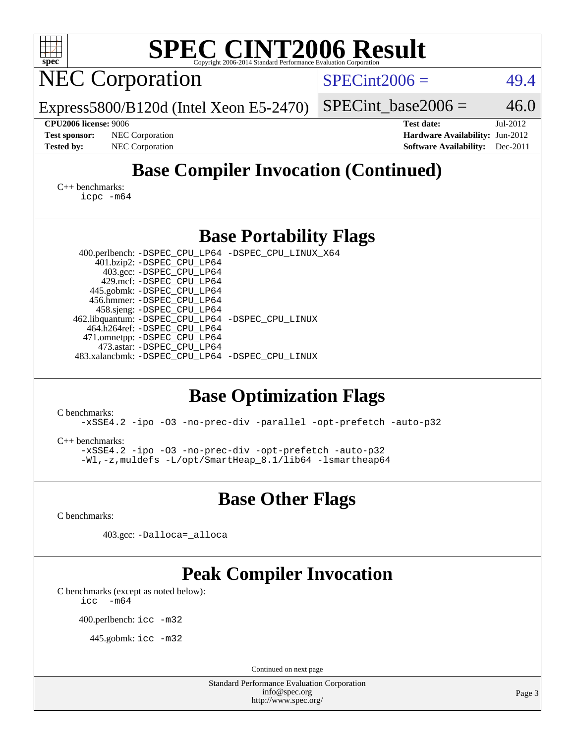| SPEC CINT2006 Evaluation Corporation<br>spec®                                                                                                                                                                                                                     |                                           |  |  |  |  |  |  |  |  |
|-------------------------------------------------------------------------------------------------------------------------------------------------------------------------------------------------------------------------------------------------------------------|-------------------------------------------|--|--|--|--|--|--|--|--|
| <b>NEC Corporation</b>                                                                                                                                                                                                                                            | $SPECint2006 =$<br>49.4                   |  |  |  |  |  |  |  |  |
| Express5800/B120d (Intel Xeon E5-2470)                                                                                                                                                                                                                            | 46.0<br>$SPECint\_base2006 =$             |  |  |  |  |  |  |  |  |
| <b>CPU2006 license: 9006</b>                                                                                                                                                                                                                                      | <b>Test date:</b><br>Jul-2012             |  |  |  |  |  |  |  |  |
| NEC Corporation<br><b>Test sponsor:</b>                                                                                                                                                                                                                           | Hardware Availability: Jun-2012           |  |  |  |  |  |  |  |  |
| <b>Tested by:</b><br>NEC Corporation                                                                                                                                                                                                                              | <b>Software Availability:</b><br>Dec-2011 |  |  |  |  |  |  |  |  |
| <b>Base Compiler Invocation (Continued)</b><br>$C_{++}$ benchmarks:<br>icpc -m64                                                                                                                                                                                  |                                           |  |  |  |  |  |  |  |  |
| <b>Base Portability Flags</b>                                                                                                                                                                                                                                     |                                           |  |  |  |  |  |  |  |  |
| 400.perlbench: -DSPEC_CPU_LP64 -DSPEC_CPU_LINUX_X64                                                                                                                                                                                                               |                                           |  |  |  |  |  |  |  |  |
| 401.bzip2: -DSPEC_CPU_LP64                                                                                                                                                                                                                                        |                                           |  |  |  |  |  |  |  |  |
| 403.gcc: -DSPEC_CPU_LP64<br>429.mcf: -DSPEC_CPU_LP64                                                                                                                                                                                                              |                                           |  |  |  |  |  |  |  |  |
| 445.gobmk: - DSPEC CPU LP64                                                                                                                                                                                                                                       |                                           |  |  |  |  |  |  |  |  |
| 456.hmmer: - DSPEC_CPU_LP64<br>458.sjeng: -DSPEC_CPU_LP64                                                                                                                                                                                                         |                                           |  |  |  |  |  |  |  |  |
| 462.libquantum: -DSPEC_CPU_LP64 -DSPEC_CPU_LINUX                                                                                                                                                                                                                  |                                           |  |  |  |  |  |  |  |  |
| 464.h264ref: -DSPEC_CPU_LP64<br>471.omnetpp: -DSPEC_CPU_LP64                                                                                                                                                                                                      |                                           |  |  |  |  |  |  |  |  |
| 473.astar: -DSPEC_CPU_LP64                                                                                                                                                                                                                                        |                                           |  |  |  |  |  |  |  |  |
| 483.xalancbmk: -DSPEC_CPU_LP64 -DSPEC_CPU_LINUX                                                                                                                                                                                                                   |                                           |  |  |  |  |  |  |  |  |
| <b>Base Optimization Flags</b><br>C benchmarks:<br>-xSSE4.2 -ipo -03 -no-prec-div -parallel -opt-prefetch -auto-p32<br>$C_{++}$ benchmarks:<br>-xSSE4.2 -ipo -03 -no-prec-div -opt-prefetch -auto-p32<br>-Wl,-z, muldefs -L/opt/SmartHeap_8.1/lib64 -lsmartheap64 |                                           |  |  |  |  |  |  |  |  |
| <b>Base Other Flags</b>                                                                                                                                                                                                                                           |                                           |  |  |  |  |  |  |  |  |
| C benchmarks:                                                                                                                                                                                                                                                     |                                           |  |  |  |  |  |  |  |  |
| 403.gcc: -Dalloca=_alloca                                                                                                                                                                                                                                         |                                           |  |  |  |  |  |  |  |  |
| <b>Peak Compiler Invocation</b>                                                                                                                                                                                                                                   |                                           |  |  |  |  |  |  |  |  |
| C benchmarks (except as noted below):<br>$-m64$<br>icc                                                                                                                                                                                                            |                                           |  |  |  |  |  |  |  |  |
| 400.perlbench: icc -m32                                                                                                                                                                                                                                           |                                           |  |  |  |  |  |  |  |  |
| 445.gobmk: icc -m32                                                                                                                                                                                                                                               |                                           |  |  |  |  |  |  |  |  |
| Continued on next page                                                                                                                                                                                                                                            |                                           |  |  |  |  |  |  |  |  |
| <b>Standard Performance Evaluation Corporation</b>                                                                                                                                                                                                                |                                           |  |  |  |  |  |  |  |  |
| info@spec.org<br>http://www.spec.org/                                                                                                                                                                                                                             | Page 3                                    |  |  |  |  |  |  |  |  |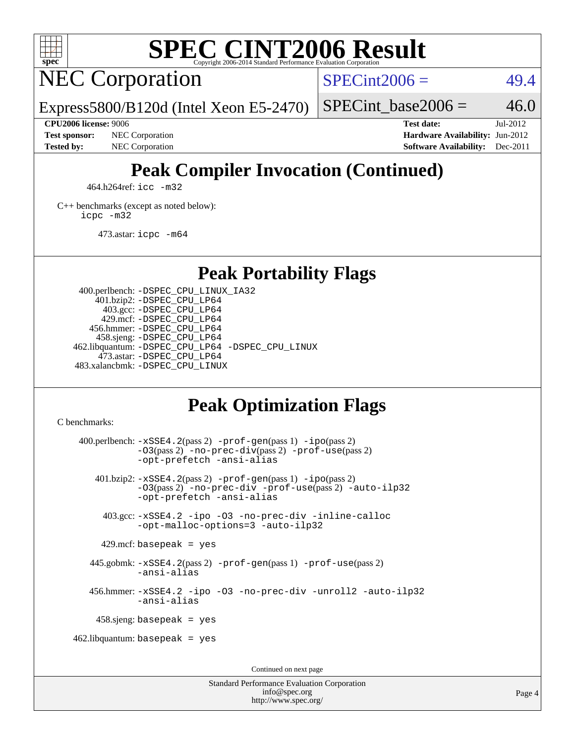

# **[SPEC CINT2006 Result](http://www.spec.org/auto/cpu2006/Docs/result-fields.html#SPECCINT2006Result)**

NEC Corporation

 $SPECint2006 = 49.4$  $SPECint2006 = 49.4$ 

Express5800/B120d (Intel Xeon E5-2470)

SPECint base2006 =  $46.0$ 

**[CPU2006 license:](http://www.spec.org/auto/cpu2006/Docs/result-fields.html#CPU2006license)** 9006 **[Test date:](http://www.spec.org/auto/cpu2006/Docs/result-fields.html#Testdate)** Jul-2012 **[Test sponsor:](http://www.spec.org/auto/cpu2006/Docs/result-fields.html#Testsponsor)** NEC Corporation **NEC Corporation [Hardware Availability:](http://www.spec.org/auto/cpu2006/Docs/result-fields.html#HardwareAvailability)** Jun-2012 **[Tested by:](http://www.spec.org/auto/cpu2006/Docs/result-fields.html#Testedby)** NEC Corporation **[Software Availability:](http://www.spec.org/auto/cpu2006/Docs/result-fields.html#SoftwareAvailability)** Dec-2011

## **[Peak Compiler Invocation \(Continued\)](http://www.spec.org/auto/cpu2006/Docs/result-fields.html#PeakCompilerInvocation)**

464.h264ref: [icc -m32](http://www.spec.org/cpu2006/results/res2012q3/cpu2006-20120712-23642.flags.html#user_peakCCLD464_h264ref_intel_icc_a6a621f8d50482236b970c6ac5f55f93)

[C++ benchmarks \(except as noted below\):](http://www.spec.org/auto/cpu2006/Docs/result-fields.html#CXXbenchmarksexceptasnotedbelow) [icpc -m32](http://www.spec.org/cpu2006/results/res2012q3/cpu2006-20120712-23642.flags.html#user_CXXpeak_intel_icpc_4e5a5ef1a53fd332b3c49e69c3330699)

473.astar: [icpc -m64](http://www.spec.org/cpu2006/results/res2012q3/cpu2006-20120712-23642.flags.html#user_peakCXXLD473_astar_intel_icpc_64bit_fc66a5337ce925472a5c54ad6a0de310)

**[Peak Portability Flags](http://www.spec.org/auto/cpu2006/Docs/result-fields.html#PeakPortabilityFlags)**

 400.perlbench: [-DSPEC\\_CPU\\_LINUX\\_IA32](http://www.spec.org/cpu2006/results/res2012q3/cpu2006-20120712-23642.flags.html#b400.perlbench_peakCPORTABILITY_DSPEC_CPU_LINUX_IA32) 401.bzip2: [-DSPEC\\_CPU\\_LP64](http://www.spec.org/cpu2006/results/res2012q3/cpu2006-20120712-23642.flags.html#suite_peakPORTABILITY401_bzip2_DSPEC_CPU_LP64) 403.gcc: [-DSPEC\\_CPU\\_LP64](http://www.spec.org/cpu2006/results/res2012q3/cpu2006-20120712-23642.flags.html#suite_peakPORTABILITY403_gcc_DSPEC_CPU_LP64) 429.mcf: [-DSPEC\\_CPU\\_LP64](http://www.spec.org/cpu2006/results/res2012q3/cpu2006-20120712-23642.flags.html#suite_peakPORTABILITY429_mcf_DSPEC_CPU_LP64) 456.hmmer: [-DSPEC\\_CPU\\_LP64](http://www.spec.org/cpu2006/results/res2012q3/cpu2006-20120712-23642.flags.html#suite_peakPORTABILITY456_hmmer_DSPEC_CPU_LP64) 458.sjeng: [-DSPEC\\_CPU\\_LP64](http://www.spec.org/cpu2006/results/res2012q3/cpu2006-20120712-23642.flags.html#suite_peakPORTABILITY458_sjeng_DSPEC_CPU_LP64) 462.libquantum: [-DSPEC\\_CPU\\_LP64](http://www.spec.org/cpu2006/results/res2012q3/cpu2006-20120712-23642.flags.html#suite_peakPORTABILITY462_libquantum_DSPEC_CPU_LP64) [-DSPEC\\_CPU\\_LINUX](http://www.spec.org/cpu2006/results/res2012q3/cpu2006-20120712-23642.flags.html#b462.libquantum_peakCPORTABILITY_DSPEC_CPU_LINUX) 473.astar: [-DSPEC\\_CPU\\_LP64](http://www.spec.org/cpu2006/results/res2012q3/cpu2006-20120712-23642.flags.html#suite_peakPORTABILITY473_astar_DSPEC_CPU_LP64) 483.xalancbmk: [-DSPEC\\_CPU\\_LINUX](http://www.spec.org/cpu2006/results/res2012q3/cpu2006-20120712-23642.flags.html#b483.xalancbmk_peakCXXPORTABILITY_DSPEC_CPU_LINUX)

## **[Peak Optimization Flags](http://www.spec.org/auto/cpu2006/Docs/result-fields.html#PeakOptimizationFlags)**

[C benchmarks](http://www.spec.org/auto/cpu2006/Docs/result-fields.html#Cbenchmarks):

 400.perlbench: [-xSSE4.2](http://www.spec.org/cpu2006/results/res2012q3/cpu2006-20120712-23642.flags.html#user_peakPASS2_CFLAGSPASS2_LDCFLAGS400_perlbench_f-xSSE42_f91528193cf0b216347adb8b939d4107)(pass 2) [-prof-gen](http://www.spec.org/cpu2006/results/res2012q3/cpu2006-20120712-23642.flags.html#user_peakPASS1_CFLAGSPASS1_LDCFLAGS400_perlbench_prof_gen_e43856698f6ca7b7e442dfd80e94a8fc)(pass 1) [-ipo](http://www.spec.org/cpu2006/results/res2012q3/cpu2006-20120712-23642.flags.html#user_peakPASS2_CFLAGSPASS2_LDCFLAGS400_perlbench_f-ipo)(pass 2) [-O3](http://www.spec.org/cpu2006/results/res2012q3/cpu2006-20120712-23642.flags.html#user_peakPASS2_CFLAGSPASS2_LDCFLAGS400_perlbench_f-O3)(pass 2) [-no-prec-div](http://www.spec.org/cpu2006/results/res2012q3/cpu2006-20120712-23642.flags.html#user_peakPASS2_CFLAGSPASS2_LDCFLAGS400_perlbench_f-no-prec-div)(pass 2) [-prof-use](http://www.spec.org/cpu2006/results/res2012q3/cpu2006-20120712-23642.flags.html#user_peakPASS2_CFLAGSPASS2_LDCFLAGS400_perlbench_prof_use_bccf7792157ff70d64e32fe3e1250b55)(pass 2) [-opt-prefetch](http://www.spec.org/cpu2006/results/res2012q3/cpu2006-20120712-23642.flags.html#user_peakCOPTIMIZE400_perlbench_f-opt-prefetch) [-ansi-alias](http://www.spec.org/cpu2006/results/res2012q3/cpu2006-20120712-23642.flags.html#user_peakCOPTIMIZE400_perlbench_f-ansi-alias) 401.bzip2: [-xSSE4.2](http://www.spec.org/cpu2006/results/res2012q3/cpu2006-20120712-23642.flags.html#user_peakPASS2_CFLAGSPASS2_LDCFLAGS401_bzip2_f-xSSE42_f91528193cf0b216347adb8b939d4107)(pass 2) [-prof-gen](http://www.spec.org/cpu2006/results/res2012q3/cpu2006-20120712-23642.flags.html#user_peakPASS1_CFLAGSPASS1_LDCFLAGS401_bzip2_prof_gen_e43856698f6ca7b7e442dfd80e94a8fc)(pass 1) [-ipo](http://www.spec.org/cpu2006/results/res2012q3/cpu2006-20120712-23642.flags.html#user_peakPASS2_CFLAGSPASS2_LDCFLAGS401_bzip2_f-ipo)(pass 2) [-O3](http://www.spec.org/cpu2006/results/res2012q3/cpu2006-20120712-23642.flags.html#user_peakPASS2_CFLAGSPASS2_LDCFLAGS401_bzip2_f-O3)(pass 2) [-no-prec-div](http://www.spec.org/cpu2006/results/res2012q3/cpu2006-20120712-23642.flags.html#user_peakCOPTIMIZEPASS2_CFLAGSPASS2_LDCFLAGS401_bzip2_f-no-prec-div) [-prof-use](http://www.spec.org/cpu2006/results/res2012q3/cpu2006-20120712-23642.flags.html#user_peakPASS2_CFLAGSPASS2_LDCFLAGS401_bzip2_prof_use_bccf7792157ff70d64e32fe3e1250b55)(pass 2) [-auto-ilp32](http://www.spec.org/cpu2006/results/res2012q3/cpu2006-20120712-23642.flags.html#user_peakCOPTIMIZE401_bzip2_f-auto-ilp32) [-opt-prefetch](http://www.spec.org/cpu2006/results/res2012q3/cpu2006-20120712-23642.flags.html#user_peakCOPTIMIZE401_bzip2_f-opt-prefetch) [-ansi-alias](http://www.spec.org/cpu2006/results/res2012q3/cpu2006-20120712-23642.flags.html#user_peakCOPTIMIZE401_bzip2_f-ansi-alias) 403.gcc: [-xSSE4.2](http://www.spec.org/cpu2006/results/res2012q3/cpu2006-20120712-23642.flags.html#user_peakCOPTIMIZE403_gcc_f-xSSE42_f91528193cf0b216347adb8b939d4107) [-ipo](http://www.spec.org/cpu2006/results/res2012q3/cpu2006-20120712-23642.flags.html#user_peakCOPTIMIZE403_gcc_f-ipo) [-O3](http://www.spec.org/cpu2006/results/res2012q3/cpu2006-20120712-23642.flags.html#user_peakCOPTIMIZE403_gcc_f-O3) [-no-prec-div](http://www.spec.org/cpu2006/results/res2012q3/cpu2006-20120712-23642.flags.html#user_peakCOPTIMIZE403_gcc_f-no-prec-div) [-inline-calloc](http://www.spec.org/cpu2006/results/res2012q3/cpu2006-20120712-23642.flags.html#user_peakCOPTIMIZE403_gcc_f-inline-calloc) [-opt-malloc-options=3](http://www.spec.org/cpu2006/results/res2012q3/cpu2006-20120712-23642.flags.html#user_peakCOPTIMIZE403_gcc_f-opt-malloc-options_13ab9b803cf986b4ee62f0a5998c2238) [-auto-ilp32](http://www.spec.org/cpu2006/results/res2012q3/cpu2006-20120712-23642.flags.html#user_peakCOPTIMIZE403_gcc_f-auto-ilp32)  $429$ .mcf: basepeak = yes 445.gobmk: [-xSSE4.2](http://www.spec.org/cpu2006/results/res2012q3/cpu2006-20120712-23642.flags.html#user_peakPASS2_CFLAGSPASS2_LDCFLAGS445_gobmk_f-xSSE42_f91528193cf0b216347adb8b939d4107)(pass 2) [-prof-gen](http://www.spec.org/cpu2006/results/res2012q3/cpu2006-20120712-23642.flags.html#user_peakPASS1_CFLAGSPASS1_LDCFLAGS445_gobmk_prof_gen_e43856698f6ca7b7e442dfd80e94a8fc)(pass 1) [-prof-use](http://www.spec.org/cpu2006/results/res2012q3/cpu2006-20120712-23642.flags.html#user_peakPASS2_CFLAGSPASS2_LDCFLAGS445_gobmk_prof_use_bccf7792157ff70d64e32fe3e1250b55)(pass 2) [-ansi-alias](http://www.spec.org/cpu2006/results/res2012q3/cpu2006-20120712-23642.flags.html#user_peakCOPTIMIZE445_gobmk_f-ansi-alias) 456.hmmer: [-xSSE4.2](http://www.spec.org/cpu2006/results/res2012q3/cpu2006-20120712-23642.flags.html#user_peakCOPTIMIZE456_hmmer_f-xSSE42_f91528193cf0b216347adb8b939d4107) [-ipo](http://www.spec.org/cpu2006/results/res2012q3/cpu2006-20120712-23642.flags.html#user_peakCOPTIMIZE456_hmmer_f-ipo) [-O3](http://www.spec.org/cpu2006/results/res2012q3/cpu2006-20120712-23642.flags.html#user_peakCOPTIMIZE456_hmmer_f-O3) [-no-prec-div](http://www.spec.org/cpu2006/results/res2012q3/cpu2006-20120712-23642.flags.html#user_peakCOPTIMIZE456_hmmer_f-no-prec-div) [-unroll2](http://www.spec.org/cpu2006/results/res2012q3/cpu2006-20120712-23642.flags.html#user_peakCOPTIMIZE456_hmmer_f-unroll_784dae83bebfb236979b41d2422d7ec2) [-auto-ilp32](http://www.spec.org/cpu2006/results/res2012q3/cpu2006-20120712-23642.flags.html#user_peakCOPTIMIZE456_hmmer_f-auto-ilp32) [-ansi-alias](http://www.spec.org/cpu2006/results/res2012q3/cpu2006-20120712-23642.flags.html#user_peakCOPTIMIZE456_hmmer_f-ansi-alias) 458.sjeng: basepeak = yes  $462$ .libquantum: basepeak = yes Continued on next page

> Standard Performance Evaluation Corporation [info@spec.org](mailto:info@spec.org) <http://www.spec.org/>

Page 4